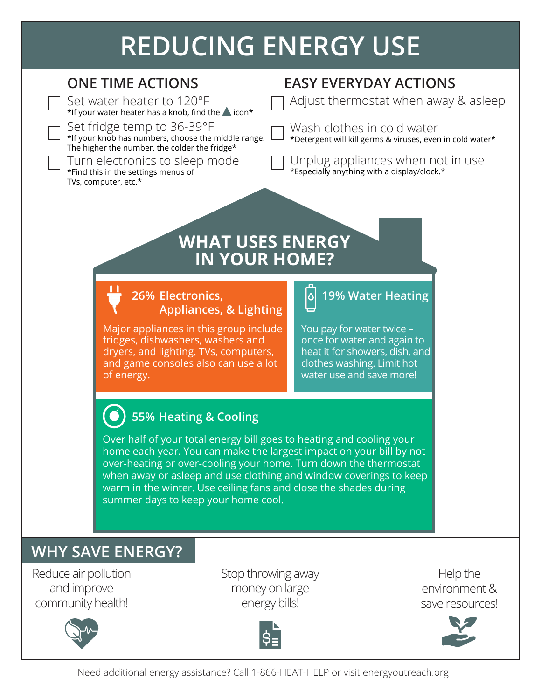# **REDUCING ENERGY USE**